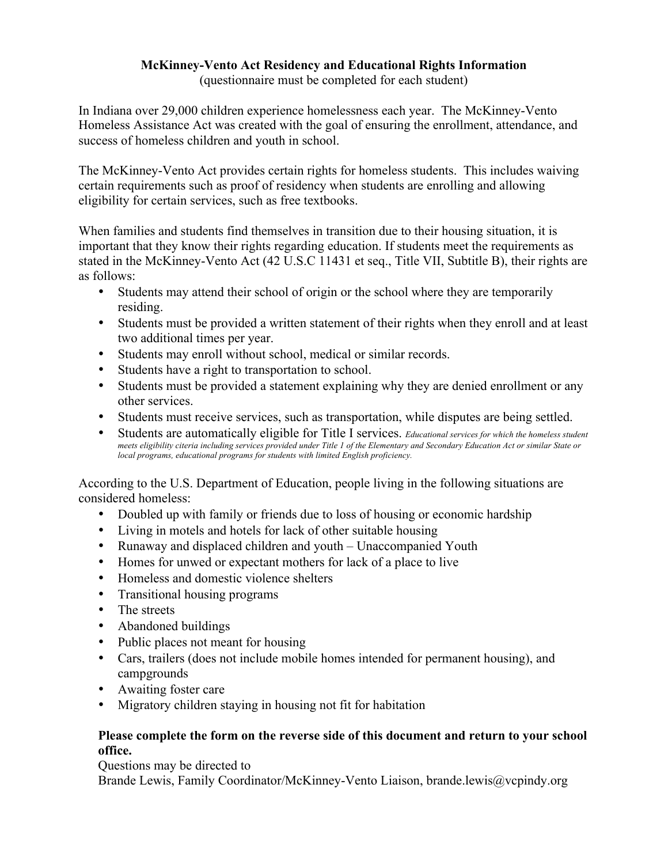## **McKinney-Vento Act Residency and Educational Rights Information**

(questionnaire must be completed for each student)

In Indiana over 29,000 children experience homelessness each year. The McKinney-Vento Homeless Assistance Act was created with the goal of ensuring the enrollment, attendance, and success of homeless children and youth in school.

The McKinney-Vento Act provides certain rights for homeless students. This includes waiving certain requirements such as proof of residency when students are enrolling and allowing eligibility for certain services, such as free textbooks.

When families and students find themselves in transition due to their housing situation, it is important that they know their rights regarding education. If students meet the requirements as stated in the McKinney-Vento Act (42 U.S.C 11431 et seq., Title VII, Subtitle B), their rights are as follows:

- Students may attend their school of origin or the school where they are temporarily residing.
- Students must be provided a written statement of their rights when they enroll and at least two additional times per year.
- Students may enroll without school, medical or similar records.
- Students have a right to transportation to school.
- Students must be provided a statement explaining why they are denied enrollment or any other services.
- Students must receive services, such as transportation, while disputes are being settled.
- Students are automatically eligible for Title I services. *Educational services for which the homeless student meets eligibility citeria including services provided under Title 1 of the Elementary and Secondary Education Act or similar State or local programs, educational programs for students with limited English proficiency.*

According to the U.S. Department of Education, people living in the following situations are considered homeless:

- Doubled up with family or friends due to loss of housing or economic hardship
- Living in motels and hotels for lack of other suitable housing
- Runaway and displaced children and youth Unaccompanied Youth
- Homes for unwed or expectant mothers for lack of a place to live
- Homeless and domestic violence shelters
- Transitional housing programs
- The streets
- Abandoned buildings
- Public places not meant for housing
- Cars, trailers (does not include mobile homes intended for permanent housing), and campgrounds
- Awaiting foster care
- Migratory children staying in housing not fit for habitation

## **Please complete the form on the reverse side of this document and return to your school office.**

Questions may be directed to Brande Lewis, Family Coordinator/McKinney-Vento Liaison, brande.lewis@vcpindy.org